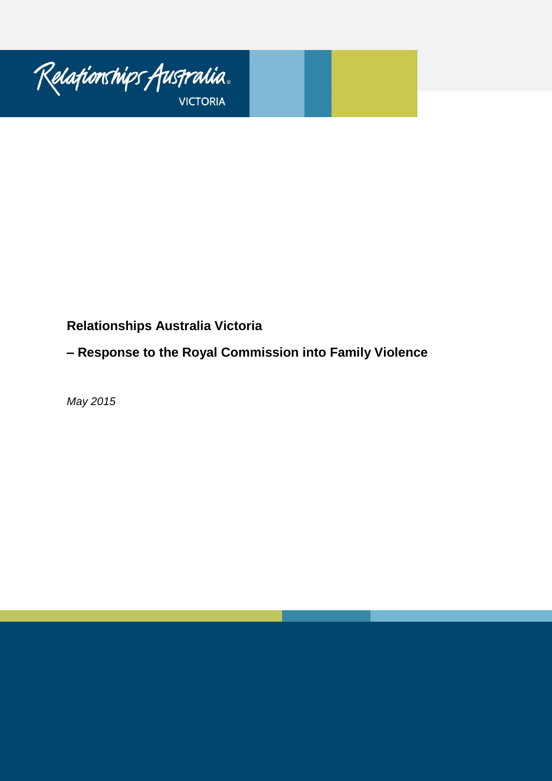

# **Relationships Australia Victoria**

# **– Response to the Royal Commission into Family Violence**

*May 2015*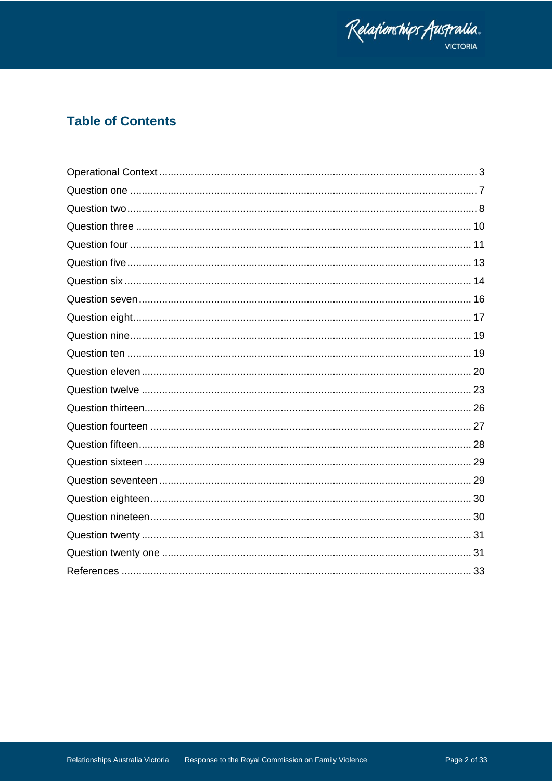

# **Table of Contents**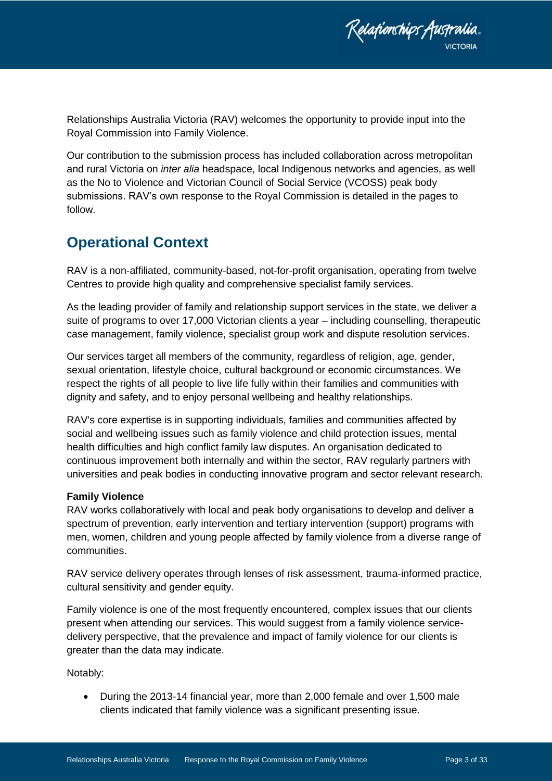Relafionships Australia.

Relationships Australia Victoria (RAV) welcomes the opportunity to provide input into the Royal Commission into Family Violence.

Our contribution to the submission process has included collaboration across metropolitan and rural Victoria on *inter alia* headspace, local Indigenous networks and agencies, as well as the No to Violence and Victorian Council of Social Service (VCOSS) peak body submissions. RAV's own response to the Royal Commission is detailed in the pages to follow.

### <span id="page-2-0"></span>**Operational Context**

RAV is a non-affiliated, community-based, not-for-profit organisation, operating from twelve Centres to provide high quality and comprehensive specialist family services.

As the leading provider of family and relationship support services in the state, we deliver a suite of programs to over 17,000 Victorian clients a year – including counselling, therapeutic case management, family violence, specialist group work and dispute resolution services.

Our services target all members of the community, regardless of religion, age, gender, sexual orientation, lifestyle choice, cultural background or economic circumstances. We respect the rights of all people to live life fully within their families and communities with dignity and safety, and to enjoy personal wellbeing and healthy relationships.

RAV's core expertise is in supporting individuals, families and communities affected by social and wellbeing issues such as family violence and child protection issues, mental health difficulties and high conflict family law disputes. An organisation dedicated to continuous improvement both internally and within the sector, RAV regularly partners with universities and peak bodies in conducting innovative program and sector relevant research.

#### **Family Violence**

RAV works collaboratively with local and peak body organisations to develop and deliver a spectrum of prevention, early intervention and tertiary intervention (support) programs with men, women, children and young people affected by family violence from a diverse range of communities.

RAV service delivery operates through lenses of risk assessment, trauma-informed practice, cultural sensitivity and gender equity.

Family violence is one of the most frequently encountered, complex issues that our clients present when attending our services. This would suggest from a family violence servicedelivery perspective, that the prevalence and impact of family violence for our clients is greater than the data may indicate.

Notably:

 During the 2013-14 financial year, more than 2,000 female and over 1,500 male clients indicated that family violence was a significant presenting issue.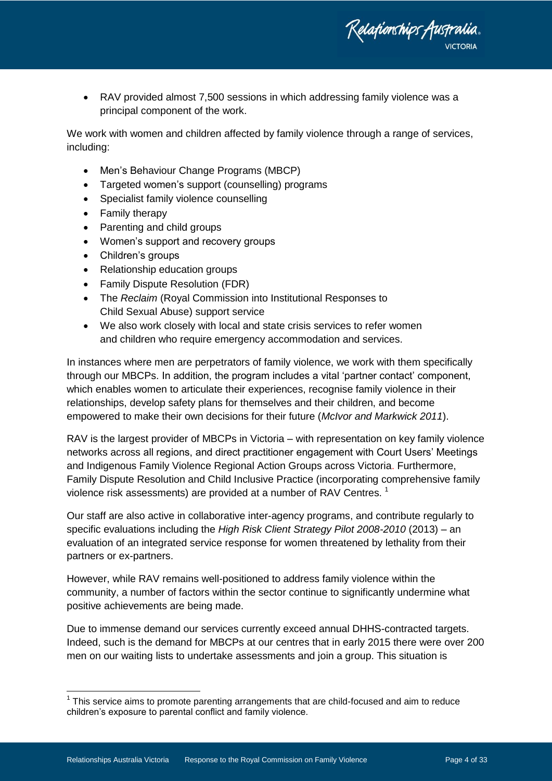

 RAV provided almost 7,500 sessions in which addressing family violence was a principal component of the work.

We work with women and children affected by family violence through a range of services, including:

- Men's Behaviour Change Programs (MBCP)
- Targeted women's support (counselling) programs
- Specialist family violence counselling
- Family therapy
- Parenting and child groups
- Women's support and recovery groups
- Children's groups
- Relationship education groups
- Family Dispute Resolution (FDR)
- The *Reclaim* (Royal Commission into Institutional Responses to Child Sexual Abuse) support service
- We also work closely with local and state crisis services to refer women and children who require emergency accommodation and services.

In instances where men are perpetrators of family violence, we work with them specifically through our MBCPs. In addition, the program includes a vital 'partner contact' component, which enables women to articulate their experiences, recognise family violence in their relationships, develop safety plans for themselves and their children, and become empowered to make their own decisions for their future (*McIvor and Markwick 2011*).

RAV is the largest provider of MBCPs in Victoria – with representation on key family violence networks across all regions, and direct practitioner engagement with Court Users' Meetings and Indigenous Family Violence Regional Action Groups across Victoria. Furthermore, Family Dispute Resolution and Child Inclusive Practice (incorporating comprehensive family violence risk assessments) are provided at a number of RAV Centres.<sup>1</sup>

Our staff are also active in collaborative inter-agency programs, and contribute regularly to specific evaluations including the *High Risk Client Strategy Pilot 2008-2010* (2013) – an evaluation of an integrated service response for women threatened by lethality from their partners or ex-partners.

However, while RAV remains well-positioned to address family violence within the community, a number of factors within the sector continue to significantly undermine what positive achievements are being made.

Due to immense demand our services currently exceed annual DHHS-contracted targets. Indeed, such is the demand for MBCPs at our centres that in early 2015 there were over 200 men on our waiting lists to undertake assessments and join a group. This situation is

<sup>————————————————————&</sup>lt;br><sup>1</sup> This service aims to promote parenting arrangements that are child-focused and aim to reduce children's exposure to parental conflict and family violence.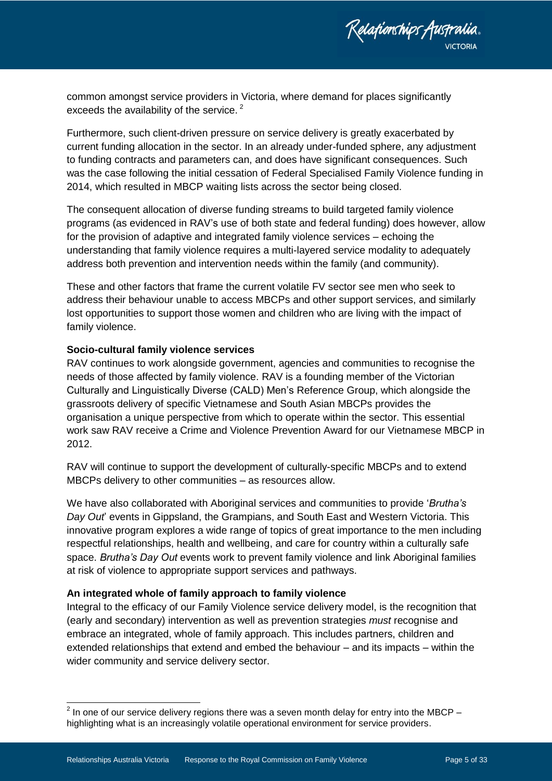

common amongst service providers in Victoria, where demand for places significantly exceeds the availability of the service.<sup>2</sup>

Furthermore, such client-driven pressure on service delivery is greatly exacerbated by current funding allocation in the sector. In an already under-funded sphere, any adjustment to funding contracts and parameters can, and does have significant consequences. Such was the case following the initial cessation of Federal Specialised Family Violence funding in 2014, which resulted in MBCP waiting lists across the sector being closed.

The consequent allocation of diverse funding streams to build targeted family violence programs (as evidenced in RAV's use of both state and federal funding) does however, allow for the provision of adaptive and integrated family violence services – echoing the understanding that family violence requires a multi-layered service modality to adequately address both prevention and intervention needs within the family (and community).

These and other factors that frame the current volatile FV sector see men who seek to address their behaviour unable to access MBCPs and other support services, and similarly lost opportunities to support those women and children who are living with the impact of family violence.

#### **Socio-cultural family violence services**

RAV continues to work alongside government, agencies and communities to recognise the needs of those affected by family violence. RAV is a founding member of the Victorian Culturally and Linguistically Diverse (CALD) Men's Reference Group, which alongside the grassroots delivery of specific Vietnamese and South Asian MBCPs provides the organisation a unique perspective from which to operate within the sector. This essential work saw RAV receive a Crime and Violence Prevention Award for our Vietnamese MBCP in 2012.

RAV will continue to support the development of culturally-specific MBCPs and to extend MBCPs delivery to other communities – as resources allow.

We have also collaborated with Aboriginal services and communities to provide '*Brutha's Day Out*' events in Gippsland, the Grampians, and South East and Western Victoria. This innovative program explores a wide range of topics of great importance to the men including respectful relationships, health and wellbeing, and care for country within a culturally safe space. *Brutha's Day Out* events work to prevent family violence and link Aboriginal families at risk of violence to appropriate support services and pathways.

#### **An integrated whole of family approach to family violence**

Integral to the efficacy of our Family Violence service delivery model, is the recognition that (early and secondary) intervention as well as prevention strategies *must* recognise and embrace an integrated, whole of family approach. This includes partners, children and extended relationships that extend and embed the behaviour – and its impacts – within the wider community and service delivery sector.

 2 In one of our service delivery regions there was a seven month delay for entry into the MBCP – highlighting what is an increasingly volatile operational environment for service providers.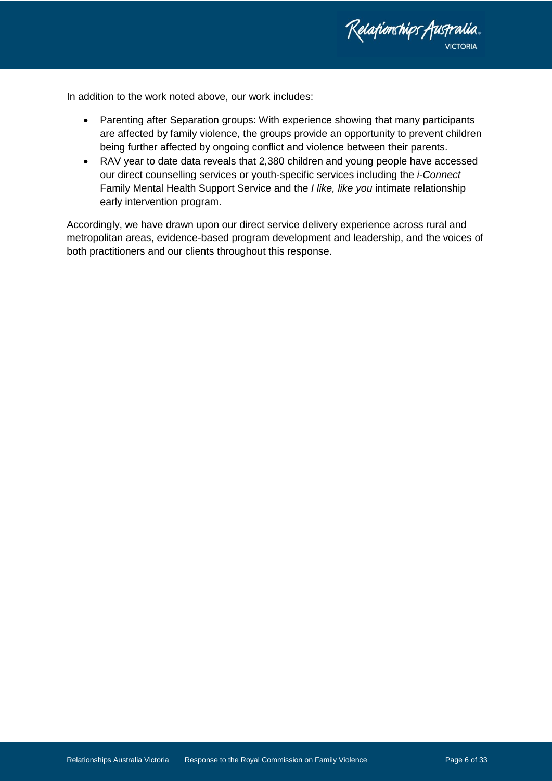Relationships Australia. **VICTORIA** 

In addition to the work noted above, our work includes:

- Parenting after Separation groups: With experience showing that many participants are affected by family violence, the groups provide an opportunity to prevent children being further affected by ongoing conflict and violence between their parents.
- RAV year to date data reveals that 2,380 children and young people have accessed our direct counselling services or youth-specific services including the *i-Connect*  Family Mental Health Support Service and the *I like, like you* intimate relationship early intervention program.

Accordingly, we have drawn upon our direct service delivery experience across rural and metropolitan areas, evidence-based program development and leadership, and the voices of both practitioners and our clients throughout this response.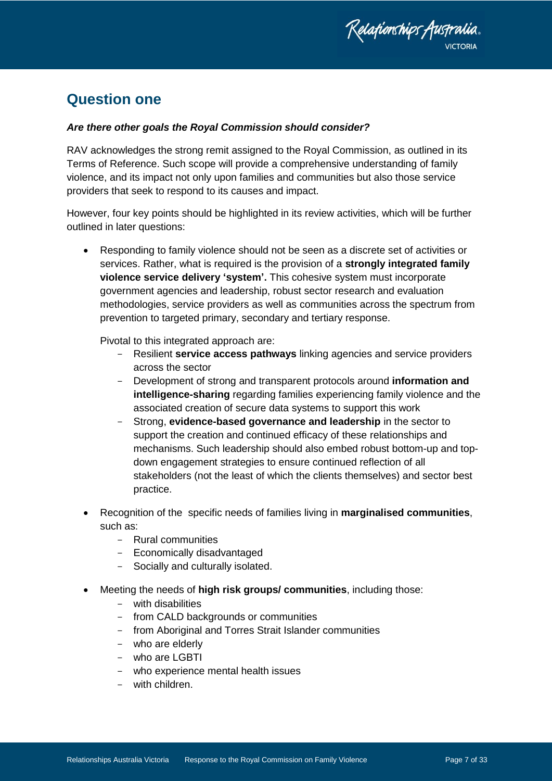

### <span id="page-6-0"></span>**Question one**

#### *Are there other goals the Royal Commission should consider?*

RAV acknowledges the strong remit assigned to the Royal Commission, as outlined in its Terms of Reference. Such scope will provide a comprehensive understanding of family violence, and its impact not only upon families and communities but also those service providers that seek to respond to its causes and impact.

However, four key points should be highlighted in its review activities, which will be further outlined in later questions:

 Responding to family violence should not be seen as a discrete set of activities or services. Rather, what is required is the provision of a **strongly integrated family violence service delivery 'system'.** This cohesive system must incorporate government agencies and leadership, robust sector research and evaluation methodologies, service providers as well as communities across the spectrum from prevention to targeted primary, secondary and tertiary response.

Pivotal to this integrated approach are:

- Resilient **service access pathways** linking agencies and service providers across the sector
- Development of strong and transparent protocols around **information and intelligence-sharing** regarding families experiencing family violence and the associated creation of secure data systems to support this work
- Strong, **evidence-based governance and leadership** in the sector to support the creation and continued efficacy of these relationships and mechanisms. Such leadership should also embed robust bottom-up and topdown engagement strategies to ensure continued reflection of all stakeholders (not the least of which the clients themselves) and sector best practice.
- Recognition of the specific needs of families living in **marginalised communities**, such as:
	- Rural communities
	- Economically disadvantaged
	- Socially and culturally isolated.
- Meeting the needs of **high risk groups/ communities**, including those:
	- with disabilities
	- from CALD backgrounds or communities
	- from Aboriginal and Torres Strait Islander communities
	- who are elderly
	- who are LGBTI
	- who experience mental health issues
	- with children.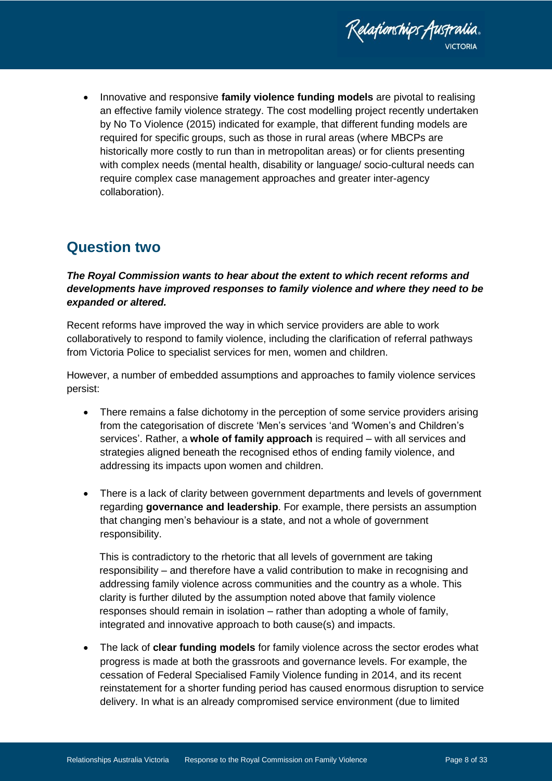

 Innovative and responsive **family violence funding models** are pivotal to realising an effective family violence strategy. The cost modelling project recently undertaken by No To Violence (2015) indicated for example, that different funding models are required for specific groups, such as those in rural areas (where MBCPs are historically more costly to run than in metropolitan areas) or for clients presenting with complex needs (mental health, disability or language/ socio-cultural needs can require complex case management approaches and greater inter-agency collaboration).

## <span id="page-7-0"></span>**Question two**

*The Royal Commission wants to hear about the extent to which recent reforms and developments have improved responses to family violence and where they need to be expanded or altered.* 

Recent reforms have improved the way in which service providers are able to work collaboratively to respond to family violence, including the clarification of referral pathways from Victoria Police to specialist services for men, women and children.

However, a number of embedded assumptions and approaches to family violence services persist:

- There remains a false dichotomy in the perception of some service providers arising from the categorisation of discrete 'Men's services 'and 'Women's and Children's services'. Rather, a **whole of family approach** is required – with all services and strategies aligned beneath the recognised ethos of ending family violence, and addressing its impacts upon women and children.
- There is a lack of clarity between government departments and levels of government regarding **governance and leadership**. For example, there persists an assumption that changing men's behaviour is a state, and not a whole of government responsibility.

This is contradictory to the rhetoric that all levels of government are taking responsibility – and therefore have a valid contribution to make in recognising and addressing family violence across communities and the country as a whole. This clarity is further diluted by the assumption noted above that family violence responses should remain in isolation – rather than adopting a whole of family, integrated and innovative approach to both cause(s) and impacts.

 The lack of **clear funding models** for family violence across the sector erodes what progress is made at both the grassroots and governance levels. For example, the cessation of Federal Specialised Family Violence funding in 2014, and its recent reinstatement for a shorter funding period has caused enormous disruption to service delivery. In what is an already compromised service environment (due to limited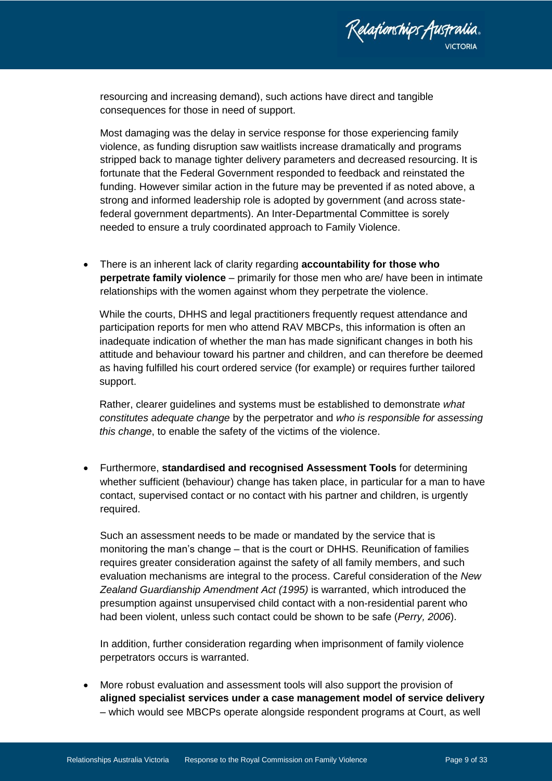

resourcing and increasing demand), such actions have direct and tangible consequences for those in need of support.

Most damaging was the delay in service response for those experiencing family violence, as funding disruption saw waitlists increase dramatically and programs stripped back to manage tighter delivery parameters and decreased resourcing. It is fortunate that the Federal Government responded to feedback and reinstated the funding. However similar action in the future may be prevented if as noted above, a strong and informed leadership role is adopted by government (and across statefederal government departments). An Inter-Departmental Committee is sorely needed to ensure a truly coordinated approach to Family Violence.

 There is an inherent lack of clarity regarding **accountability for those who perpetrate family violence** – primarily for those men who are/ have been in intimate relationships with the women against whom they perpetrate the violence.

While the courts, DHHS and legal practitioners frequently request attendance and participation reports for men who attend RAV MBCPs, this information is often an inadequate indication of whether the man has made significant changes in both his attitude and behaviour toward his partner and children, and can therefore be deemed as having fulfilled his court ordered service (for example) or requires further tailored support.

Rather, clearer guidelines and systems must be established to demonstrate *what constitutes adequate change* by the perpetrator and *who is responsible for assessing this change*, to enable the safety of the victims of the violence.

 Furthermore, **standardised and recognised Assessment Tools** for determining whether sufficient (behaviour) change has taken place, in particular for a man to have contact, supervised contact or no contact with his partner and children, is urgently required.

Such an assessment needs to be made or mandated by the service that is monitoring the man's change – that is the court or DHHS. Reunification of families requires greater consideration against the safety of all family members, and such evaluation mechanisms are integral to the process. Careful consideration of the *New Zealand Guardianship Amendment Act (1995)* is warranted, which introduced the presumption against unsupervised child contact with a non-residential parent who had been violent, unless such contact could be shown to be safe (*Perry, 2006*).

In addition, further consideration regarding when imprisonment of family violence perpetrators occurs is warranted.

 More robust evaluation and assessment tools will also support the provision of **aligned specialist services under a case management model of service delivery** – which would see MBCPs operate alongside respondent programs at Court, as well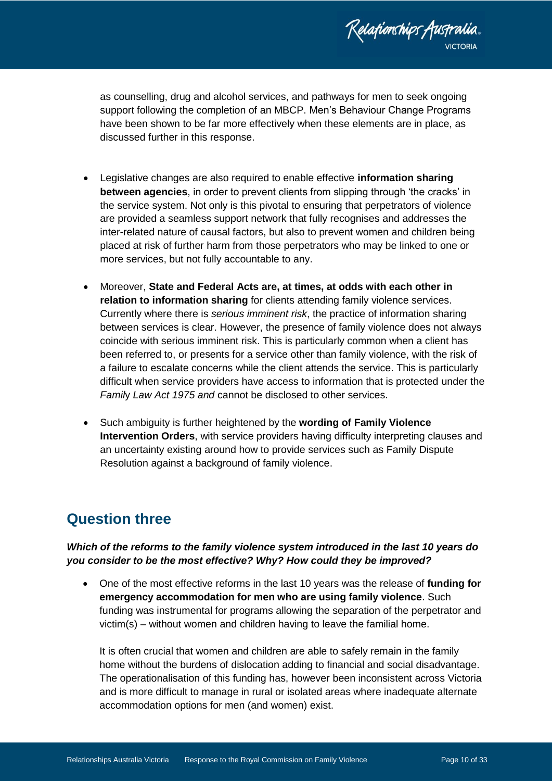

as counselling, drug and alcohol services, and pathways for men to seek ongoing support following the completion of an MBCP. Men's Behaviour Change Programs have been shown to be far more effectively when these elements are in place, as discussed further in this response.

- Legislative changes are also required to enable effective **information sharing between agencies**, in order to prevent clients from slipping through 'the cracks' in the service system. Not only is this pivotal to ensuring that perpetrators of violence are provided a seamless support network that fully recognises and addresses the inter-related nature of causal factors, but also to prevent women and children being placed at risk of further harm from those perpetrators who may be linked to one or more services, but not fully accountable to any.
- Moreover, **State and Federal Acts are, at times, at odds with each other in relation to information sharing** for clients attending family violence services. Currently where there is *serious imminent risk*, the practice of information sharing between services is clear. However, the presence of family violence does not always coincide with serious imminent risk. This is particularly common when a client has been referred to, or presents for a service other than family violence, with the risk of a failure to escalate concerns while the client attends the service. This is particularly difficult when service providers have access to information that is protected under the *Famil*y *Law Act 1975 and* cannot be disclosed to other services.
- Such ambiguity is further heightened by the **wording of Family Violence Intervention Orders**, with service providers having difficulty interpreting clauses and an uncertainty existing around how to provide services such as Family Dispute Resolution against a background of family violence.

### <span id="page-9-0"></span>**Question three**

### *Which of the reforms to the family violence system introduced in the last 10 years do you consider to be the most effective? Why? How could they be improved?*

 One of the most effective reforms in the last 10 years was the release of **funding for emergency accommodation for men who are using family violence**. Such funding was instrumental for programs allowing the separation of the perpetrator and victim(s) – without women and children having to leave the familial home.

It is often crucial that women and children are able to safely remain in the family home without the burdens of dislocation adding to financial and social disadvantage. The operationalisation of this funding has, however been inconsistent across Victoria and is more difficult to manage in rural or isolated areas where inadequate alternate accommodation options for men (and women) exist.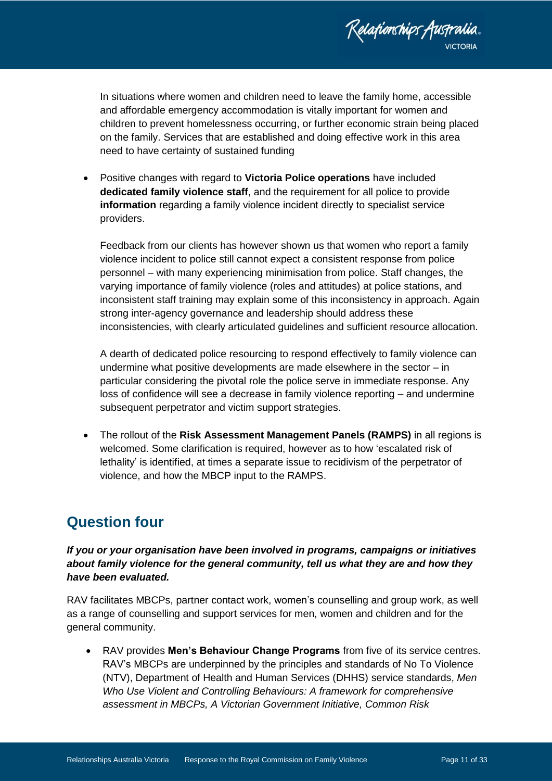

In situations where women and children need to leave the family home, accessible and affordable emergency accommodation is vitally important for women and children to prevent homelessness occurring, or further economic strain being placed on the family. Services that are established and doing effective work in this area need to have certainty of sustained funding

 Positive changes with regard to **Victoria Police operations** have included **dedicated family violence staff**, and the requirement for all police to provide **information** regarding a family violence incident directly to specialist service providers.

Feedback from our clients has however shown us that women who report a family violence incident to police still cannot expect a consistent response from police personnel – with many experiencing minimisation from police. Staff changes, the varying importance of family violence (roles and attitudes) at police stations, and inconsistent staff training may explain some of this inconsistency in approach. Again strong inter-agency governance and leadership should address these inconsistencies, with clearly articulated guidelines and sufficient resource allocation.

A dearth of dedicated police resourcing to respond effectively to family violence can undermine what positive developments are made elsewhere in the sector – in particular considering the pivotal role the police serve in immediate response. Any loss of confidence will see a decrease in family violence reporting – and undermine subsequent perpetrator and victim support strategies.

 The rollout of the **Risk Assessment Management Panels (RAMPS)** in all regions is welcomed. Some clarification is required, however as to how 'escalated risk of lethality' is identified, at times a separate issue to recidivism of the perpetrator of violence, and how the MBCP input to the RAMPS.

# <span id="page-10-0"></span>**Question four**

*If you or your organisation have been involved in programs, campaigns or initiatives about family violence for the general community, tell us what they are and how they have been evaluated.*

RAV facilitates MBCPs, partner contact work, women's counselling and group work, as well as a range of counselling and support services for men, women and children and for the general community.

 RAV provides **Men's Behaviour Change Programs** from five of its service centres. RAV's MBCPs are underpinned by the principles and standards of No To Violence (NTV), Department of Health and Human Services (DHHS) service standards, *Men Who Use Violent and Controlling Behaviours: A framework for comprehensive assessment in MBCPs, A Victorian Government Initiative, Common Risk*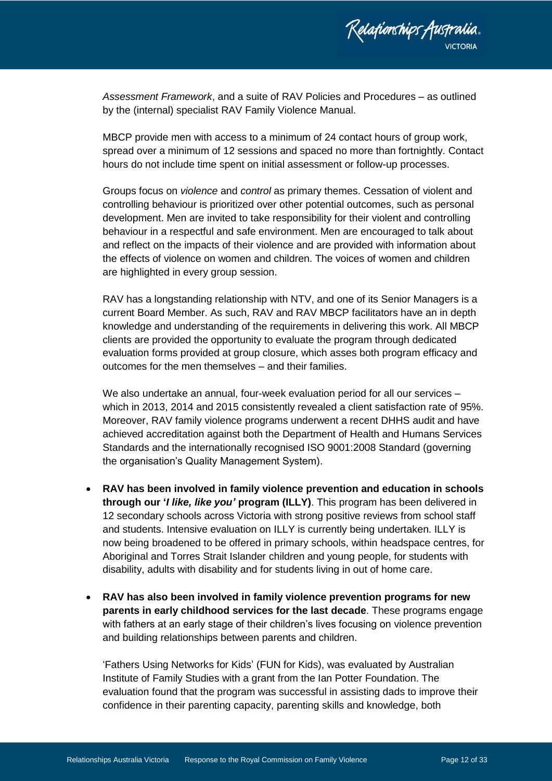

*Assessment Framework*, and a suite of RAV Policies and Procedures – as outlined by the (internal) specialist RAV Family Violence Manual.

MBCP provide men with access to a minimum of 24 contact hours of group work, spread over a minimum of 12 sessions and spaced no more than fortnightly. Contact hours do not include time spent on initial assessment or follow-up processes.

Groups focus on *violence* and *control* as primary themes. Cessation of violent and controlling behaviour is prioritized over other potential outcomes, such as personal development. Men are invited to take responsibility for their violent and controlling behaviour in a respectful and safe environment. Men are encouraged to talk about and reflect on the impacts of their violence and are provided with information about the effects of violence on women and children. The voices of women and children are highlighted in every group session.

RAV has a longstanding relationship with NTV, and one of its Senior Managers is a current Board Member. As such, RAV and RAV MBCP facilitators have an in depth knowledge and understanding of the requirements in delivering this work. All MBCP clients are provided the opportunity to evaluate the program through dedicated evaluation forms provided at group closure, which asses both program efficacy and outcomes for the men themselves – and their families.

We also undertake an annual, four-week evaluation period for all our services – which in 2013, 2014 and 2015 consistently revealed a client satisfaction rate of 95%. Moreover, RAV family violence programs underwent a recent DHHS audit and have achieved accreditation against both the Department of Health and Humans Services Standards and the internationally recognised ISO 9001:2008 Standard (governing the organisation's Quality Management System).

- **RAV has been involved in family violence prevention and education in schools through our '***I like, like you'* **program (ILLY)**. This program has been delivered in 12 secondary schools across Victoria with strong positive reviews from school staff and students. Intensive evaluation on ILLY is currently being undertaken. ILLY is now being broadened to be offered in primary schools, within headspace centres, for Aboriginal and Torres Strait Islander children and young people, for students with disability, adults with disability and for students living in out of home care.
- **RAV has also been involved in family violence prevention programs for new parents in early childhood services for the last decade**. These programs engage with fathers at an early stage of their children's lives focusing on violence prevention and building relationships between parents and children.

'Fathers Using Networks for Kids' (FUN for Kids), was evaluated by Australian Institute of Family Studies with a grant from the Ian Potter Foundation. The evaluation found that the program was successful in assisting dads to improve their confidence in their parenting capacity, parenting skills and knowledge, both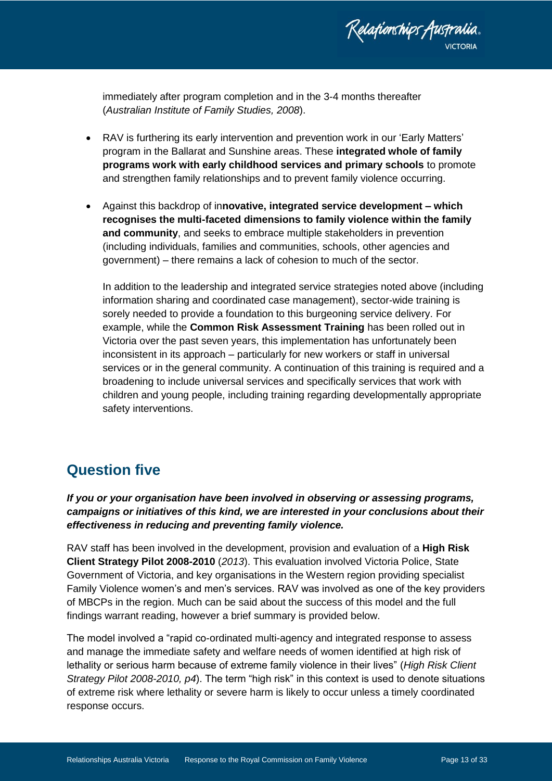

immediately after program completion and in the 3-4 months thereafter (*Australian Institute of Family Studies, 2008*).

- RAV is furthering its early intervention and prevention work in our 'Early Matters' program in the Ballarat and Sunshine areas. These **integrated whole of family programs work with early childhood services and primary schools** to promote and strengthen family relationships and to prevent family violence occurring.
- Against this backdrop of in**novative, integrated service development – which recognises the multi-faceted dimensions to family violence within the family and community**, and seeks to embrace multiple stakeholders in prevention (including individuals, families and communities, schools, other agencies and government) – there remains a lack of cohesion to much of the sector.

In addition to the leadership and integrated service strategies noted above (including information sharing and coordinated case management), sector-wide training is sorely needed to provide a foundation to this burgeoning service delivery. For example, while the **Common Risk Assessment Training** has been rolled out in Victoria over the past seven years, this implementation has unfortunately been inconsistent in its approach – particularly for new workers or staff in universal services or in the general community. A continuation of this training is required and a broadening to include universal services and specifically services that work with children and young people, including training regarding developmentally appropriate safety interventions.

## <span id="page-12-0"></span>**Question five**

*If you or your organisation have been involved in observing or assessing programs, campaigns or initiatives of this kind, we are interested in your conclusions about their effectiveness in reducing and preventing family violence.*

RAV staff has been involved in the development, provision and evaluation of a **High Risk Client Strategy Pilot 2008-2010** (*2013*). This evaluation involved Victoria Police, State Government of Victoria, and key organisations in the Western region providing specialist Family Violence women's and men's services. RAV was involved as one of the key providers of MBCPs in the region. Much can be said about the success of this model and the full findings warrant reading, however a brief summary is provided below.

The model involved a "rapid co-ordinated multi-agency and integrated response to assess and manage the immediate safety and welfare needs of women identified at high risk of lethality or serious harm because of extreme family violence in their lives" (*High Risk Client Strategy Pilot 2008-2010, p4*). The term "high risk" in this context is used to denote situations of extreme risk where lethality or severe harm is likely to occur unless a timely coordinated response occurs.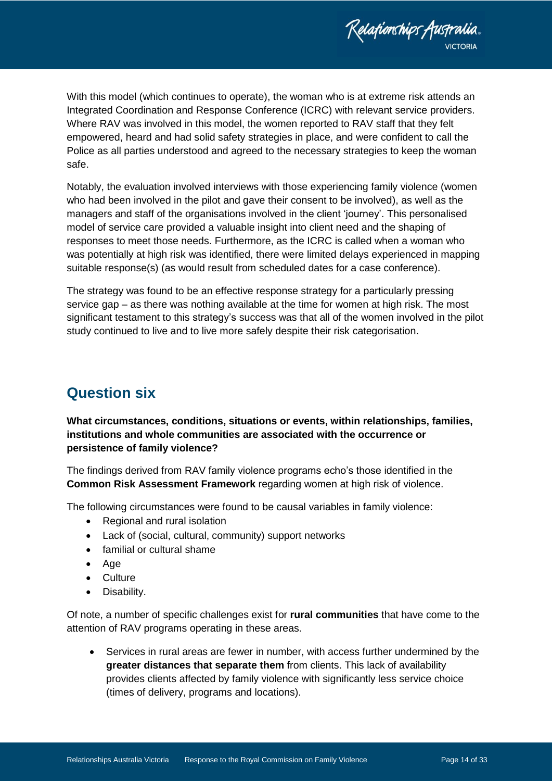Relafionships Australia.

With this model (which continues to operate), the woman who is at extreme risk attends an Integrated Coordination and Response Conference (ICRC) with relevant service providers. Where RAV was involved in this model, the women reported to RAV staff that they felt empowered, heard and had solid safety strategies in place, and were confident to call the Police as all parties understood and agreed to the necessary strategies to keep the woman safe.

Notably, the evaluation involved interviews with those experiencing family violence (women who had been involved in the pilot and gave their consent to be involved), as well as the managers and staff of the organisations involved in the client 'journey'. This personalised model of service care provided a valuable insight into client need and the shaping of responses to meet those needs. Furthermore, as the ICRC is called when a woman who was potentially at high risk was identified, there were limited delays experienced in mapping suitable response(s) (as would result from scheduled dates for a case conference).

The strategy was found to be an effective response strategy for a particularly pressing service gap – as there was nothing available at the time for women at high risk. The most significant testament to this strategy's success was that all of the women involved in the pilot study continued to live and to live more safely despite their risk categorisation.

### <span id="page-13-0"></span>**Question six**

### **What circumstances, conditions, situations or events, within relationships, families, institutions and whole communities are associated with the occurrence or persistence of family violence?**

The findings derived from RAV family violence programs echo's those identified in the **Common Risk Assessment Framework** regarding women at high risk of violence.

The following circumstances were found to be causal variables in family violence:

- Regional and rural isolation
- Lack of (social, cultural, community) support networks
- familial or cultural shame
- Age
- Culture
- Disability.

Of note, a number of specific challenges exist for **rural communities** that have come to the attention of RAV programs operating in these areas.

 Services in rural areas are fewer in number, with access further undermined by the **greater distances that separate them** from clients. This lack of availability provides clients affected by family violence with significantly less service choice (times of delivery, programs and locations).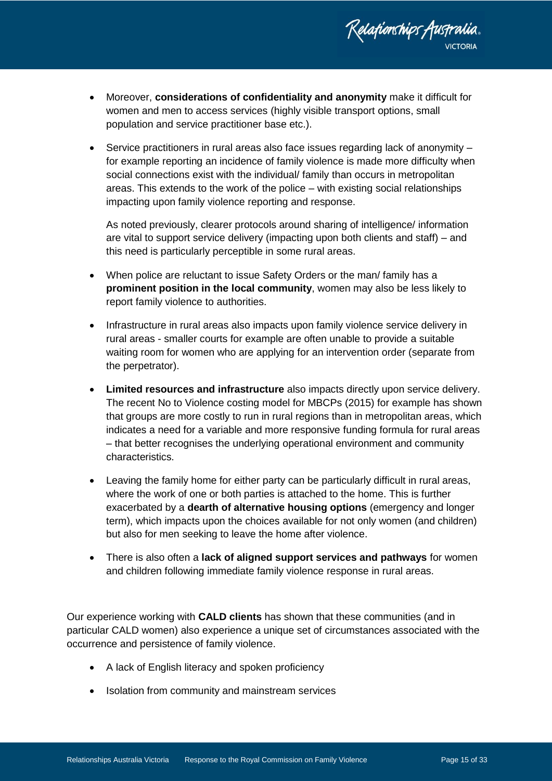

- Moreover, **considerations of confidentiality and anonymity** make it difficult for women and men to access services (highly visible transport options, small population and service practitioner base etc.).
- Service practitioners in rural areas also face issues regarding lack of anonymity for example reporting an incidence of family violence is made more difficulty when social connections exist with the individual/ family than occurs in metropolitan areas. This extends to the work of the police – with existing social relationships impacting upon family violence reporting and response.

As noted previously, clearer protocols around sharing of intelligence/ information are vital to support service delivery (impacting upon both clients and staff) – and this need is particularly perceptible in some rural areas.

- When police are reluctant to issue Safety Orders or the man/ family has a **prominent position in the local community**, women may also be less likely to report family violence to authorities.
- Infrastructure in rural areas also impacts upon family violence service delivery in rural areas - smaller courts for example are often unable to provide a suitable waiting room for women who are applying for an intervention order (separate from the perpetrator).
- **Limited resources and infrastructure** also impacts directly upon service delivery. The recent No to Violence costing model for MBCPs (2015) for example has shown that groups are more costly to run in rural regions than in metropolitan areas, which indicates a need for a variable and more responsive funding formula for rural areas – that better recognises the underlying operational environment and community characteristics.
- Leaving the family home for either party can be particularly difficult in rural areas, where the work of one or both parties is attached to the home. This is further exacerbated by a **dearth of alternative housing options** (emergency and longer term), which impacts upon the choices available for not only women (and children) but also for men seeking to leave the home after violence.
- There is also often a **lack of aligned support services and pathways** for women and children following immediate family violence response in rural areas.

Our experience working with **CALD clients** has shown that these communities (and in particular CALD women) also experience a unique set of circumstances associated with the occurrence and persistence of family violence.

- A lack of English literacy and spoken proficiency
- Isolation from community and mainstream services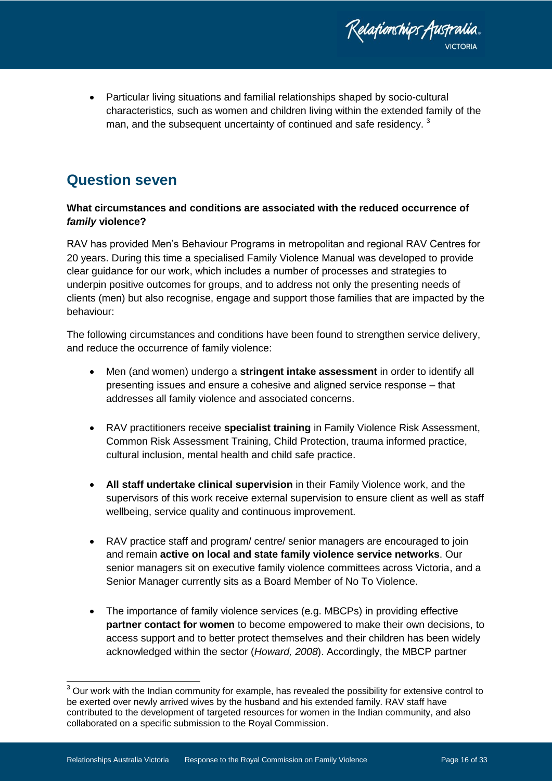Relafionships Australia.

 Particular living situations and familial relationships shaped by socio-cultural characteristics, such as women and children living within the extended family of the man, and the subsequent uncertainty of continued and safe residency.<sup>3</sup>

## <span id="page-15-0"></span>**Question seven**

### **What circumstances and conditions are associated with the reduced occurrence of**  *family* **violence?**

RAV has provided Men's Behaviour Programs in metropolitan and regional RAV Centres for 20 years. During this time a specialised Family Violence Manual was developed to provide clear guidance for our work, which includes a number of processes and strategies to underpin positive outcomes for groups, and to address not only the presenting needs of clients (men) but also recognise, engage and support those families that are impacted by the behaviour:

The following circumstances and conditions have been found to strengthen service delivery, and reduce the occurrence of family violence:

- Men (and women) undergo a **stringent intake assessment** in order to identify all presenting issues and ensure a cohesive and aligned service response – that addresses all family violence and associated concerns.
- RAV practitioners receive **specialist training** in Family Violence Risk Assessment, Common Risk Assessment Training, Child Protection, trauma informed practice, cultural inclusion, mental health and child safe practice.
- **All staff undertake clinical supervision** in their Family Violence work, and the supervisors of this work receive external supervision to ensure client as well as staff wellbeing, service quality and continuous improvement.
- RAV practice staff and program/ centre/ senior managers are encouraged to join and remain **active on local and state family violence service networks**. Our senior managers sit on executive family violence committees across Victoria, and a Senior Manager currently sits as a Board Member of No To Violence.
- The importance of family violence services (e.g. MBCPs) in providing effective **partner contact for women** to become empowered to make their own decisions, to access support and to better protect themselves and their children has been widely acknowledged within the sector (*Howard, 2008*). Accordingly, the MBCP partner

 $\overline{1}$  $3$  Our work with the Indian community for example, has revealed the possibility for extensive control to be exerted over newly arrived wives by the husband and his extended family. RAV staff have contributed to the development of targeted resources for women in the Indian community, and also collaborated on a specific submission to the Royal Commission.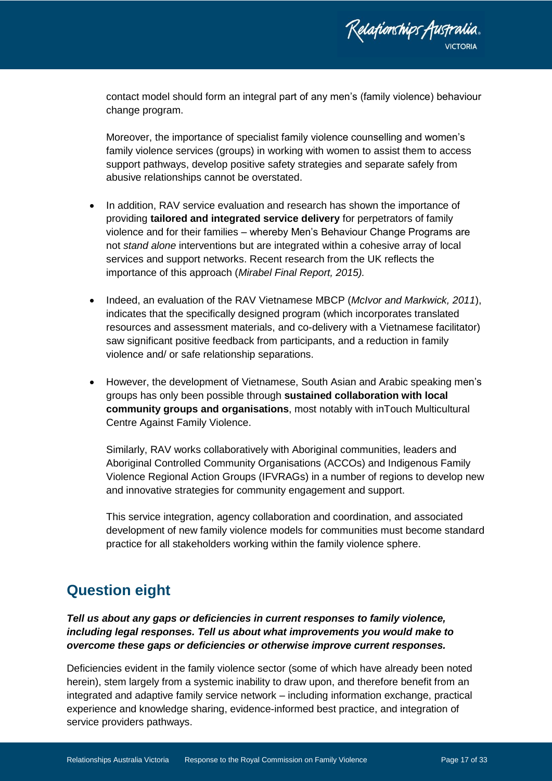

contact model should form an integral part of any men's (family violence) behaviour change program.

Moreover, the importance of specialist family violence counselling and women's family violence services (groups) in working with women to assist them to access support pathways, develop positive safety strategies and separate safely from abusive relationships cannot be overstated.

- In addition, RAV service evaluation and research has shown the importance of providing **tailored and integrated service delivery** for perpetrators of family violence and for their families – whereby Men's Behaviour Change Programs are not *stand alone* interventions but are integrated within a cohesive array of local services and support networks. Recent research from the UK reflects the importance of this approach (*Mirabel Final Report, 2015).*
- Indeed, an evaluation of the RAV Vietnamese MBCP (*McIvor and Markwick, 2011*), indicates that the specifically designed program (which incorporates translated resources and assessment materials, and co-delivery with a Vietnamese facilitator) saw significant positive feedback from participants, and a reduction in family violence and/ or safe relationship separations.
- However, the development of Vietnamese, South Asian and Arabic speaking men's groups has only been possible through **sustained collaboration with local community groups and organisations**, most notably with inTouch Multicultural Centre Against Family Violence.

Similarly, RAV works collaboratively with Aboriginal communities, leaders and Aboriginal Controlled Community Organisations (ACCOs) and Indigenous Family Violence Regional Action Groups (IFVRAGs) in a number of regions to develop new and innovative strategies for community engagement and support.

This service integration, agency collaboration and coordination, and associated development of new family violence models for communities must become standard practice for all stakeholders working within the family violence sphere.

## <span id="page-16-0"></span>**Question eight**

*Tell us about any gaps or deficiencies in current responses to family violence, including legal responses. Tell us about what improvements you would make to overcome these gaps or deficiencies or otherwise improve current responses.*

Deficiencies evident in the family violence sector (some of which have already been noted herein), stem largely from a systemic inability to draw upon, and therefore benefit from an integrated and adaptive family service network – including information exchange, practical experience and knowledge sharing, evidence-informed best practice, and integration of service providers pathways.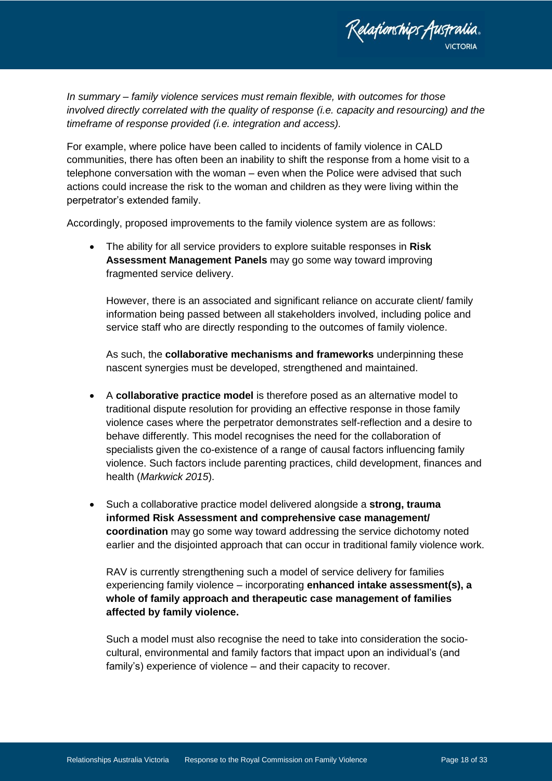

*In summary – family violence services must remain flexible, with outcomes for those involved directly correlated with the quality of response (i.e. capacity and resourcing) and the timeframe of response provided (i.e. integration and access).* 

For example, where police have been called to incidents of family violence in CALD communities, there has often been an inability to shift the response from a home visit to a telephone conversation with the woman – even when the Police were advised that such actions could increase the risk to the woman and children as they were living within the perpetrator's extended family.

Accordingly, proposed improvements to the family violence system are as follows:

 The ability for all service providers to explore suitable responses in **Risk Assessment Management Panels** may go some way toward improving fragmented service delivery.

However, there is an associated and significant reliance on accurate client/ family information being passed between all stakeholders involved, including police and service staff who are directly responding to the outcomes of family violence.

As such, the **collaborative mechanisms and frameworks** underpinning these nascent synergies must be developed, strengthened and maintained.

- A **collaborative practice model** is therefore posed as an alternative model to traditional dispute resolution for providing an effective response in those family violence cases where the perpetrator demonstrates self-reflection and a desire to behave differently. This model recognises the need for the collaboration of specialists given the co-existence of a range of causal factors influencing family violence. Such factors include parenting practices, child development, finances and health (*Markwick 2015*).
- Such a collaborative practice model delivered alongside a **strong, trauma informed Risk Assessment and comprehensive case management/ coordination** may go some way toward addressing the service dichotomy noted earlier and the disjointed approach that can occur in traditional family violence work.

RAV is currently strengthening such a model of service delivery for families experiencing family violence – incorporating **enhanced intake assessment(s), a whole of family approach and therapeutic case management of families affected by family violence.** 

Such a model must also recognise the need to take into consideration the sociocultural, environmental and family factors that impact upon an individual's (and family's) experience of violence – and their capacity to recover.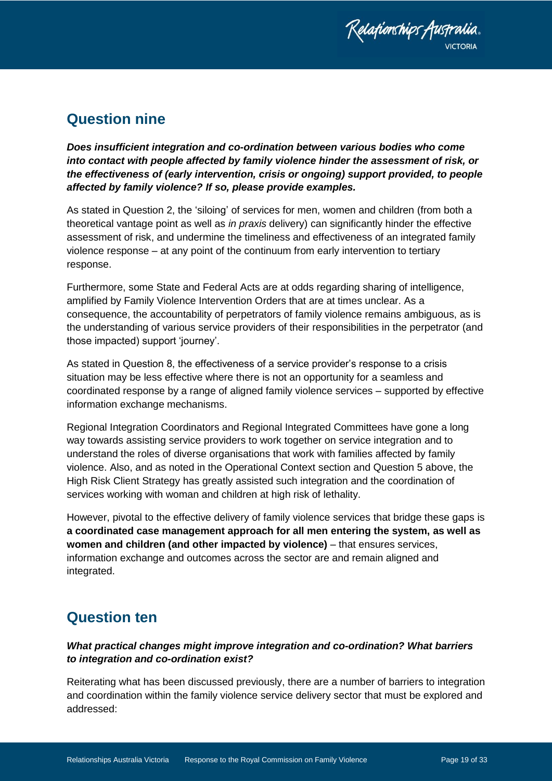

## <span id="page-18-0"></span>**Question nine**

*Does insufficient integration and co-ordination between various bodies who come into contact with people affected by family violence hinder the assessment of risk, or the effectiveness of (early intervention, crisis or ongoing) support provided, to people affected by family violence? If so, please provide examples.* 

As stated in Question 2, the 'siloing' of services for men, women and children (from both a theoretical vantage point as well as *in praxis* delivery) can significantly hinder the effective assessment of risk, and undermine the timeliness and effectiveness of an integrated family violence response – at any point of the continuum from early intervention to tertiary response.

Furthermore, some State and Federal Acts are at odds regarding sharing of intelligence, amplified by Family Violence Intervention Orders that are at times unclear. As a consequence, the accountability of perpetrators of family violence remains ambiguous, as is the understanding of various service providers of their responsibilities in the perpetrator (and those impacted) support 'journey'.

As stated in Question 8, the effectiveness of a service provider's response to a crisis situation may be less effective where there is not an opportunity for a seamless and coordinated response by a range of aligned family violence services – supported by effective information exchange mechanisms.

Regional Integration Coordinators and Regional Integrated Committees have gone a long way towards assisting service providers to work together on service integration and to understand the roles of diverse organisations that work with families affected by family violence. Also, and as noted in the Operational Context section and Question 5 above, the High Risk Client Strategy has greatly assisted such integration and the coordination of services working with woman and children at high risk of lethality.

However, pivotal to the effective delivery of family violence services that bridge these gaps is **a coordinated case management approach for all men entering the system, as well as women and children (and other impacted by violence)** – that ensures services, information exchange and outcomes across the sector are and remain aligned and integrated.

## <span id="page-18-1"></span>**Question ten**

### *What practical changes might improve integration and co-ordination? What barriers to integration and co-ordination exist?*

Reiterating what has been discussed previously, there are a number of barriers to integration and coordination within the family violence service delivery sector that must be explored and addressed: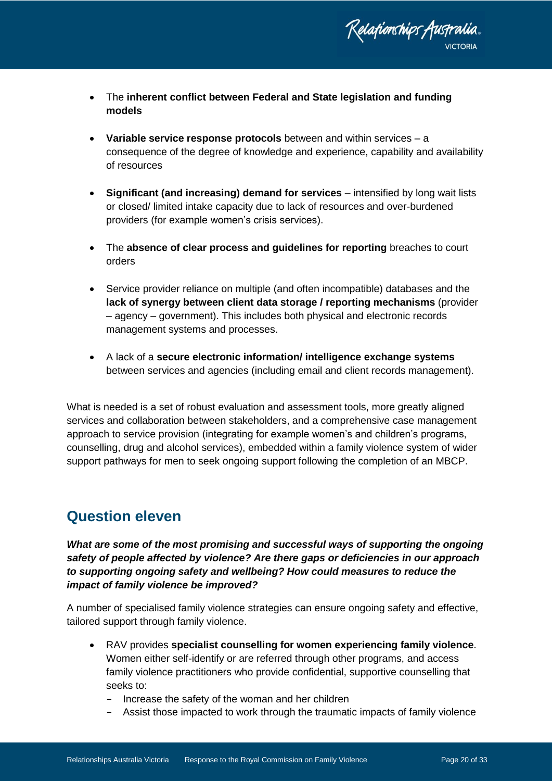

- The **inherent conflict between Federal and State legislation and funding models**
- **Variable service response protocols** between and within services a consequence of the degree of knowledge and experience, capability and availability of resources
- **Significant (and increasing) demand for services** intensified by long wait lists or closed/ limited intake capacity due to lack of resources and over-burdened providers (for example women's crisis services).
- The **absence of clear process and guidelines for reporting** breaches to court orders
- Service provider reliance on multiple (and often incompatible) databases and the **lack of synergy between client data storage / reporting mechanisms** (provider – agency – government). This includes both physical and electronic records management systems and processes.
- A lack of a **secure electronic information/ intelligence exchange systems** between services and agencies (including email and client records management).

What is needed is a set of robust evaluation and assessment tools, more greatly aligned services and collaboration between stakeholders, and a comprehensive case management approach to service provision (integrating for example women's and children's programs, counselling, drug and alcohol services), embedded within a family violence system of wider support pathways for men to seek ongoing support following the completion of an MBCP.

## <span id="page-19-0"></span>**Question eleven**

What are some of the most promising and successful ways of supporting the ongoing *safety of people affected by violence? Are there gaps or deficiencies in our approach to supporting ongoing safety and wellbeing? How could measures to reduce the impact of family violence be improved?*

A number of specialised family violence strategies can ensure ongoing safety and effective, tailored support through family violence.

- RAV provides **specialist counselling for women experiencing family violence**. Women either self-identify or are referred through other programs, and access family violence practitioners who provide confidential, supportive counselling that seeks to:
	- Increase the safety of the woman and her children
	- Assist those impacted to work through the traumatic impacts of family violence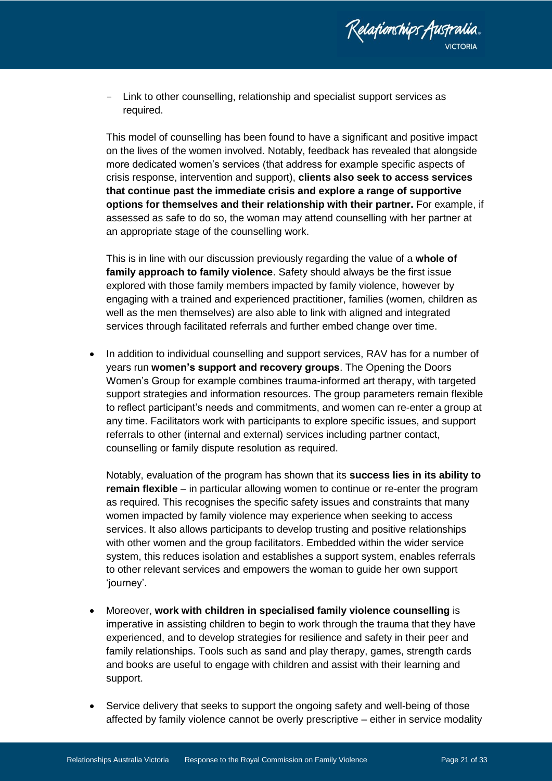

Relafionships Australia.

This model of counselling has been found to have a significant and positive impact on the lives of the women involved. Notably, feedback has revealed that alongside more dedicated women's services (that address for example specific aspects of crisis response, intervention and support), **clients also seek to access services that continue past the immediate crisis and explore a range of supportive options for themselves and their relationship with their partner.** For example, if assessed as safe to do so, the woman may attend counselling with her partner at an appropriate stage of the counselling work.

This is in line with our discussion previously regarding the value of a **whole of family approach to family violence**. Safety should always be the first issue explored with those family members impacted by family violence, however by engaging with a trained and experienced practitioner, families (women, children as well as the men themselves) are also able to link with aligned and integrated services through facilitated referrals and further embed change over time.

 In addition to individual counselling and support services, RAV has for a number of years run **women's support and recovery groups**. The Opening the Doors Women's Group for example combines trauma-informed art therapy, with targeted support strategies and information resources. The group parameters remain flexible to reflect participant's needs and commitments, and women can re-enter a group at any time. Facilitators work with participants to explore specific issues, and support referrals to other (internal and external) services including partner contact, counselling or family dispute resolution as required.

Notably, evaluation of the program has shown that its **success lies in its ability to remain flexible** – in particular allowing women to continue or re-enter the program as required. This recognises the specific safety issues and constraints that many women impacted by family violence may experience when seeking to access services. It also allows participants to develop trusting and positive relationships with other women and the group facilitators. Embedded within the wider service system, this reduces isolation and establishes a support system, enables referrals to other relevant services and empowers the woman to guide her own support 'journey'.

- Moreover, **work with children in specialised family violence counselling** is imperative in assisting children to begin to work through the trauma that they have experienced, and to develop strategies for resilience and safety in their peer and family relationships. Tools such as sand and play therapy, games, strength cards and books are useful to engage with children and assist with their learning and support.
- Service delivery that seeks to support the ongoing safety and well-being of those affected by family violence cannot be overly prescriptive – either in service modality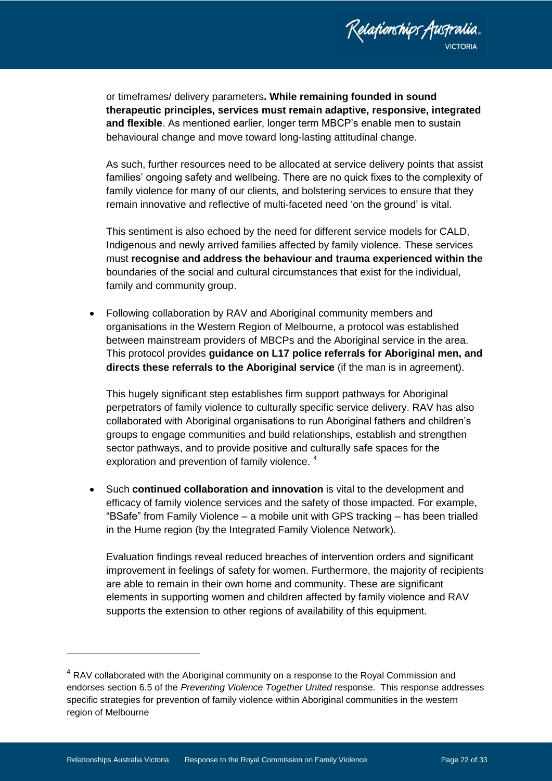

or timeframes/ delivery parameters**. While remaining founded in sound therapeutic principles, services must remain adaptive, responsive, integrated and flexible**. As mentioned earlier, longer term MBCP's enable men to sustain behavioural change and move toward long-lasting attitudinal change.

As such, further resources need to be allocated at service delivery points that assist families' ongoing safety and wellbeing. There are no quick fixes to the complexity of family violence for many of our clients, and bolstering services to ensure that they remain innovative and reflective of multi-faceted need 'on the ground' is vital.

This sentiment is also echoed by the need for different service models for CALD, Indigenous and newly arrived families affected by family violence. These services must **recognise and address the behaviour and trauma experienced within the**  boundaries of the social and cultural circumstances that exist for the individual, family and community group.

 Following collaboration by RAV and Aboriginal community members and organisations in the Western Region of Melbourne, a protocol was established between mainstream providers of MBCPs and the Aboriginal service in the area. This protocol provides **guidance on L17 police referrals for Aboriginal men, and directs these referrals to the Aboriginal service** (if the man is in agreement).

This hugely significant step establishes firm support pathways for Aboriginal perpetrators of family violence to culturally specific service delivery. RAV has also collaborated with Aboriginal organisations to run Aboriginal fathers and children's groups to engage communities and build relationships, establish and strengthen sector pathways, and to provide positive and culturally safe spaces for the exploration and prevention of family violence.<sup>4</sup>

 Such **continued collaboration and innovation** is vital to the development and efficacy of family violence services and the safety of those impacted. For example, "BSafe" from Family Violence – a mobile unit with GPS tracking – has been trialled in the Hume region (by the Integrated Family Violence Network).

Evaluation findings reveal reduced breaches of intervention orders and significant improvement in feelings of safety for women. Furthermore, the majority of recipients are able to remain in their own home and community. These are significant elements in supporting women and children affected by family violence and RAV supports the extension to other regions of availability of this equipment.

-

 $4$  RAV collaborated with the Aboriginal community on a response to the Royal Commission and endorses section 6.5 of the *Preventing Violence Together United* response. This response addresses specific strategies for prevention of family violence within Aboriginal communities in the western region of Melbourne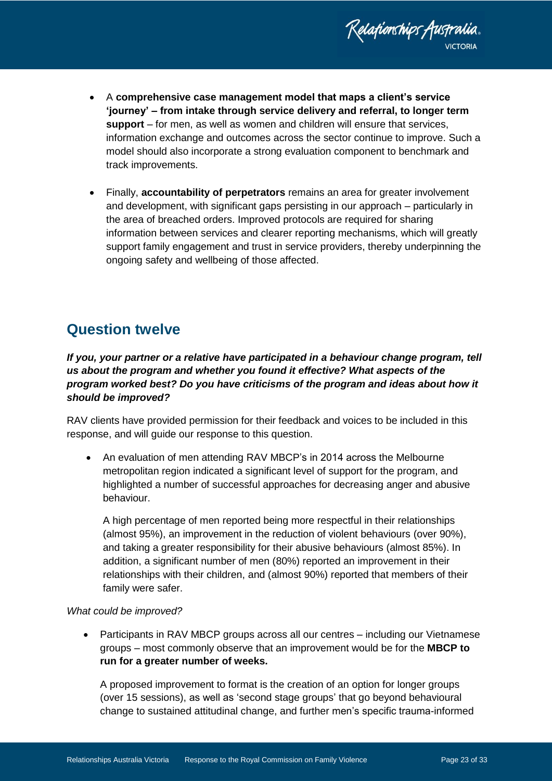

- A **comprehensive case management model that maps a client's service 'journey' – from intake through service delivery and referral, to longer term support** – for men, as well as women and children will ensure that services, information exchange and outcomes across the sector continue to improve. Such a model should also incorporate a strong evaluation component to benchmark and track improvements.
- Finally, **accountability of perpetrators** remains an area for greater involvement and development, with significant gaps persisting in our approach – particularly in the area of breached orders. Improved protocols are required for sharing information between services and clearer reporting mechanisms, which will greatly support family engagement and trust in service providers, thereby underpinning the ongoing safety and wellbeing of those affected.

# <span id="page-22-0"></span>**Question twelve**

*If you, your partner or a relative have participated in a behaviour change program, tell us about the program and whether you found it effective? What aspects of the program worked best? Do you have criticisms of the program and ideas about how it should be improved?*

RAV clients have provided permission for their feedback and voices to be included in this response, and will guide our response to this question.

 An evaluation of men attending RAV MBCP's in 2014 across the Melbourne metropolitan region indicated a significant level of support for the program, and highlighted a number of successful approaches for decreasing anger and abusive behaviour.

A high percentage of men reported being more respectful in their relationships (almost 95%), an improvement in the reduction of violent behaviours (over 90%), and taking a greater responsibility for their abusive behaviours (almost 85%). In addition, a significant number of men (80%) reported an improvement in their relationships with their children, and (almost 90%) reported that members of their family were safer.

#### *What could be improved?*

 Participants in RAV MBCP groups across all our centres – including our Vietnamese groups – most commonly observe that an improvement would be for the **MBCP to run for a greater number of weeks.** 

A proposed improvement to format is the creation of an option for longer groups (over 15 sessions), as well as 'second stage groups' that go beyond behavioural change to sustained attitudinal change, and further men's specific trauma-informed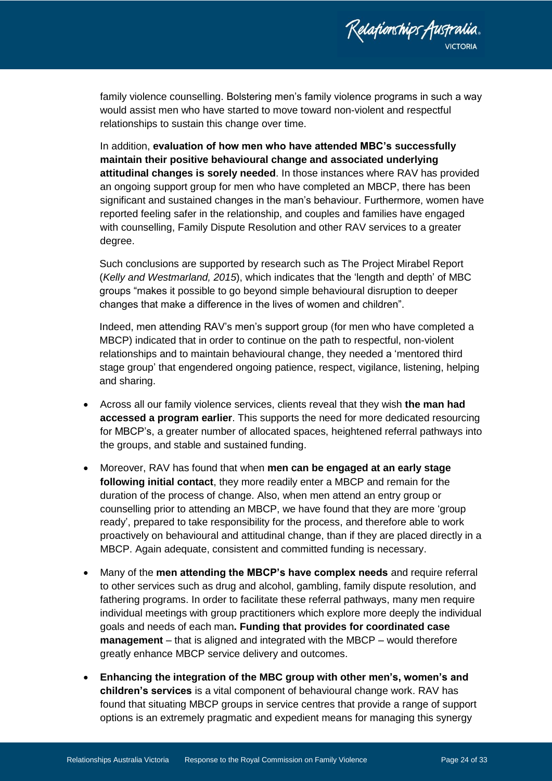

family violence counselling. Bolstering men's family violence programs in such a way would assist men who have started to move toward non-violent and respectful relationships to sustain this change over time.

In addition, **evaluation of how men who have attended MBC's successfully maintain their positive behavioural change and associated underlying attitudinal changes is sorely needed**. In those instances where RAV has provided an ongoing support group for men who have completed an MBCP, there has been significant and sustained changes in the man's behaviour. Furthermore, women have reported feeling safer in the relationship, and couples and families have engaged with counselling, Family Dispute Resolution and other RAV services to a greater degree.

Such conclusions are supported by research such as The Project Mirabel Report (*Kelly and Westmarland, 2015*), which indicates that the 'length and depth' of MBC groups "makes it possible to go beyond simple behavioural disruption to deeper changes that make a difference in the lives of women and children".

Indeed, men attending RAV's men's support group (for men who have completed a MBCP) indicated that in order to continue on the path to respectful, non-violent relationships and to maintain behavioural change, they needed a 'mentored third stage group' that engendered ongoing patience, respect, vigilance, listening, helping and sharing.

- Across all our family violence services, clients reveal that they wish **the man had accessed a program earlier**. This supports the need for more dedicated resourcing for MBCP's, a greater number of allocated spaces, heightened referral pathways into the groups, and stable and sustained funding.
- Moreover, RAV has found that when **men can be engaged at an early stage following initial contact**, they more readily enter a MBCP and remain for the duration of the process of change. Also, when men attend an entry group or counselling prior to attending an MBCP, we have found that they are more 'group ready', prepared to take responsibility for the process, and therefore able to work proactively on behavioural and attitudinal change, than if they are placed directly in a MBCP. Again adequate, consistent and committed funding is necessary.
- Many of the **men attending the MBCP's have complex needs** and require referral to other services such as drug and alcohol, gambling, family dispute resolution, and fathering programs. In order to facilitate these referral pathways, many men require individual meetings with group practitioners which explore more deeply the individual goals and needs of each man**. Funding that provides for coordinated case management** – that is aligned and integrated with the MBCP – would therefore greatly enhance MBCP service delivery and outcomes.
- **Enhancing the integration of the MBC group with other men's, women's and children's services** is a vital component of behavioural change work. RAV has found that situating MBCP groups in service centres that provide a range of support options is an extremely pragmatic and expedient means for managing this synergy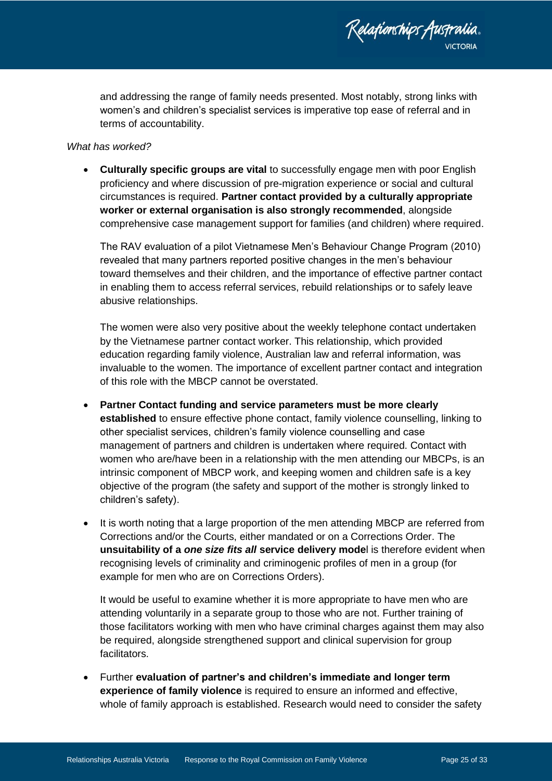

and addressing the range of family needs presented. Most notably, strong links with women's and children's specialist services is imperative top ease of referral and in terms of accountability.

#### *What has worked?*

 **Culturally specific groups are vital** to successfully engage men with poor English proficiency and where discussion of pre-migration experience or social and cultural circumstances is required. **Partner contact provided by a culturally appropriate worker or external organisation is also strongly recommended**, alongside comprehensive case management support for families (and children) where required.

The RAV evaluation of a pilot Vietnamese Men's Behaviour Change Program (2010) revealed that many partners reported positive changes in the men's behaviour toward themselves and their children, and the importance of effective partner contact in enabling them to access referral services, rebuild relationships or to safely leave abusive relationships.

The women were also very positive about the weekly telephone contact undertaken by the Vietnamese partner contact worker. This relationship, which provided education regarding family violence, Australian law and referral information, was invaluable to the women. The importance of excellent partner contact and integration of this role with the MBCP cannot be overstated.

- **Partner Contact funding and service parameters must be more clearly established** to ensure effective phone contact, family violence counselling, linking to other specialist services, children's family violence counselling and case management of partners and children is undertaken where required. Contact with women who are/have been in a relationship with the men attending our MBCPs, is an intrinsic component of MBCP work, and keeping women and children safe is a key objective of the program (the safety and support of the mother is strongly linked to children's safety).
- It is worth noting that a large proportion of the men attending MBCP are referred from Corrections and/or the Courts, either mandated or on a Corrections Order. The **unsuitability of a** *one size fits all* **service delivery mode**l is therefore evident when recognising levels of criminality and criminogenic profiles of men in a group (for example for men who are on Corrections Orders).

It would be useful to examine whether it is more appropriate to have men who are attending voluntarily in a separate group to those who are not. Further training of those facilitators working with men who have criminal charges against them may also be required, alongside strengthened support and clinical supervision for group facilitators.

 Further **evaluation of partner's and children's immediate and longer term experience of family violence** is required to ensure an informed and effective, whole of family approach is established. Research would need to consider the safety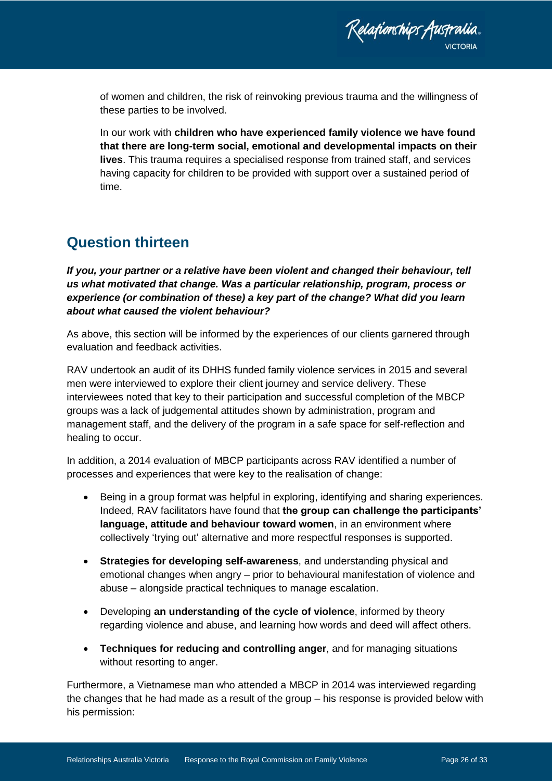of women and children, the risk of reinvoking previous trauma and the willingness of these parties to be involved.

In our work with **children who have experienced family violence we have found that there are long-term social, emotional and developmental impacts on their lives**. This trauma requires a specialised response from trained staff, and services having capacity for children to be provided with support over a sustained period of time.

## <span id="page-25-0"></span>**Question thirteen**

*If you, your partner or a relative have been violent and changed their behaviour, tell us what motivated that change. Was a particular relationship, program, process or experience (or combination of these) a key part of the change? What did you learn about what caused the violent behaviour?*

As above, this section will be informed by the experiences of our clients garnered through evaluation and feedback activities.

RAV undertook an audit of its DHHS funded family violence services in 2015 and several men were interviewed to explore their client journey and service delivery. These interviewees noted that key to their participation and successful completion of the MBCP groups was a lack of judgemental attitudes shown by administration, program and management staff, and the delivery of the program in a safe space for self-reflection and healing to occur.

In addition, a 2014 evaluation of MBCP participants across RAV identified a number of processes and experiences that were key to the realisation of change:

- Being in a group format was helpful in exploring, identifying and sharing experiences. Indeed, RAV facilitators have found that **the group can challenge the participants' language, attitude and behaviour toward women**, in an environment where collectively 'trying out' alternative and more respectful responses is supported.
- **Strategies for developing self-awareness**, and understanding physical and emotional changes when angry – prior to behavioural manifestation of violence and abuse – alongside practical techniques to manage escalation.
- Developing **an understanding of the cycle of violence**, informed by theory regarding violence and abuse, and learning how words and deed will affect others.
- **Techniques for reducing and controlling anger**, and for managing situations without resorting to anger.

Furthermore, a Vietnamese man who attended a MBCP in 2014 was interviewed regarding the changes that he had made as a result of the group – his response is provided below with his permission: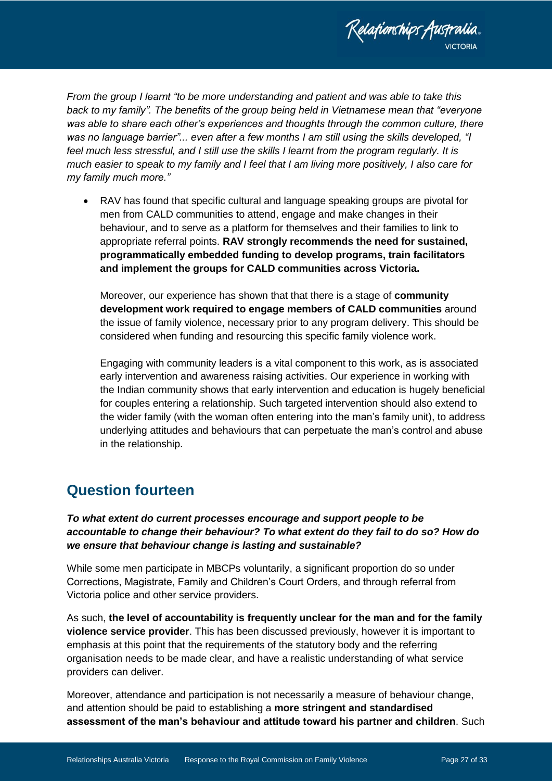

*From the group I learnt "to be more understanding and patient and was able to take this back to my family". The benefits of the group being held in Vietnamese mean that "everyone was able to share each other's experiences and thoughts through the common culture, there was no language barrier"... even after a few months I am still using the skills developed, "I feel much less stressful, and I still use the skills I learnt from the program regularly. It is much easier to speak to my family and I feel that I am living more positively, I also care for my family much more."*

 RAV has found that specific cultural and language speaking groups are pivotal for men from CALD communities to attend, engage and make changes in their behaviour, and to serve as a platform for themselves and their families to link to appropriate referral points. **RAV strongly recommends the need for sustained, programmatically embedded funding to develop programs, train facilitators and implement the groups for CALD communities across Victoria.**

Moreover, our experience has shown that that there is a stage of **community development work required to engage members of CALD communities** around the issue of family violence, necessary prior to any program delivery. This should be considered when funding and resourcing this specific family violence work.

Engaging with community leaders is a vital component to this work, as is associated early intervention and awareness raising activities. Our experience in working with the Indian community shows that early intervention and education is hugely beneficial for couples entering a relationship. Such targeted intervention should also extend to the wider family (with the woman often entering into the man's family unit), to address underlying attitudes and behaviours that can perpetuate the man's control and abuse in the relationship.

### <span id="page-26-0"></span>**Question fourteen**

*To what extent do current processes encourage and support people to be accountable to change their behaviour? To what extent do they fail to do so? How do we ensure that behaviour change is lasting and sustainable?*

While some men participate in MBCPs voluntarily, a significant proportion do so under Corrections, Magistrate, Family and Children's Court Orders, and through referral from Victoria police and other service providers.

As such, **the level of accountability is frequently unclear for the man and for the family violence service provider**. This has been discussed previously, however it is important to emphasis at this point that the requirements of the statutory body and the referring organisation needs to be made clear, and have a realistic understanding of what service providers can deliver.

Moreover, attendance and participation is not necessarily a measure of behaviour change, and attention should be paid to establishing a **more stringent and standardised assessment of the man's behaviour and attitude toward his partner and children**. Such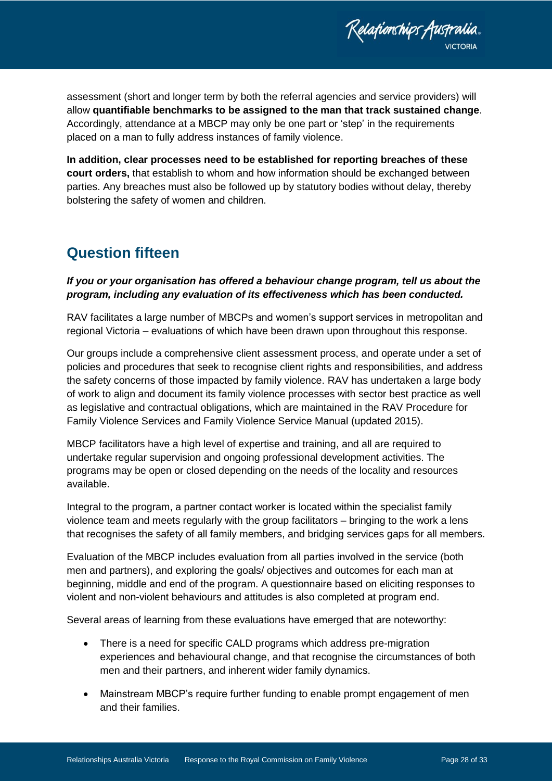Relationships Australia. **ICTORIA** 

assessment (short and longer term by both the referral agencies and service providers) will allow **quantifiable benchmarks to be assigned to the man that track sustained change**. Accordingly, attendance at a MBCP may only be one part or 'step' in the requirements placed on a man to fully address instances of family violence.

**In addition, clear processes need to be established for reporting breaches of these court orders,** that establish to whom and how information should be exchanged between parties. Any breaches must also be followed up by statutory bodies without delay, thereby bolstering the safety of women and children.

### <span id="page-27-0"></span>**Question fifteen**

### *If you or your organisation has offered a behaviour change program, tell us about the program, including any evaluation of its effectiveness which has been conducted.*

RAV facilitates a large number of MBCPs and women's support services in metropolitan and regional Victoria – evaluations of which have been drawn upon throughout this response.

Our groups include a comprehensive client assessment process, and operate under a set of policies and procedures that seek to recognise client rights and responsibilities, and address the safety concerns of those impacted by family violence. RAV has undertaken a large body of work to align and document its family violence processes with sector best practice as well as legislative and contractual obligations, which are maintained in the RAV Procedure for Family Violence Services and Family Violence Service Manual (updated 2015).

MBCP facilitators have a high level of expertise and training, and all are required to undertake regular supervision and ongoing professional development activities. The programs may be open or closed depending on the needs of the locality and resources available.

Integral to the program, a partner contact worker is located within the specialist family violence team and meets regularly with the group facilitators – bringing to the work a lens that recognises the safety of all family members, and bridging services gaps for all members.

Evaluation of the MBCP includes evaluation from all parties involved in the service (both men and partners), and exploring the goals/ objectives and outcomes for each man at beginning, middle and end of the program. A questionnaire based on eliciting responses to violent and non-violent behaviours and attitudes is also completed at program end.

Several areas of learning from these evaluations have emerged that are noteworthy:

- There is a need for specific CALD programs which address pre-migration experiences and behavioural change, and that recognise the circumstances of both men and their partners, and inherent wider family dynamics.
- Mainstream MBCP's require further funding to enable prompt engagement of men and their families.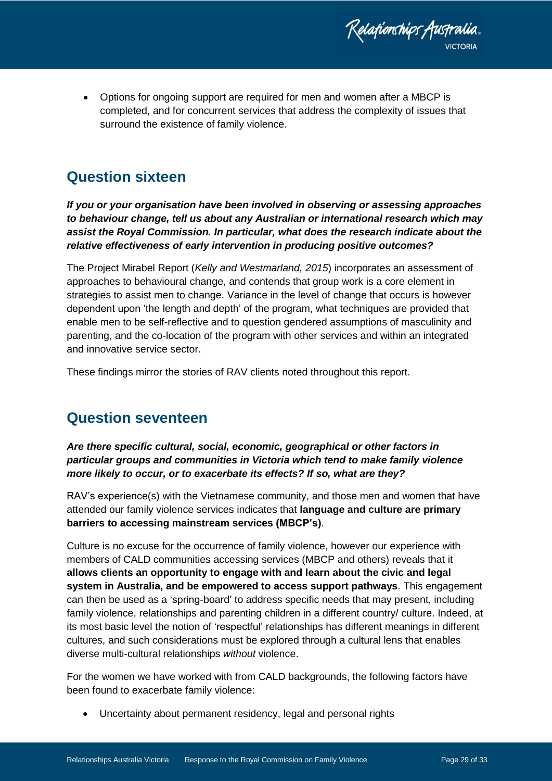Relafionships Australia.

 Options for ongoing support are required for men and women after a MBCP is completed, and for concurrent services that address the complexity of issues that surround the existence of family violence.

### <span id="page-28-0"></span>**Question sixteen**

*If you or your organisation have been involved in observing or assessing approaches to behaviour change, tell us about any Australian or international research which may assist the Royal Commission. In particular, what does the research indicate about the relative effectiveness of early intervention in producing positive outcomes?*

The Project Mirabel Report (*Kelly and Westmarland, 2015*) incorporates an assessment of approaches to behavioural change, and contends that group work is a core element in strategies to assist men to change. Variance in the level of change that occurs is however dependent upon 'the length and depth' of the program, what techniques are provided that enable men to be self-reflective and to question gendered assumptions of masculinity and parenting, and the co-location of the program with other services and within an integrated and innovative service sector.

These findings mirror the stories of RAV clients noted throughout this report.

## <span id="page-28-1"></span>**Question seventeen**

*Are there specific cultural, social, economic, geographical or other factors in particular groups and communities in Victoria which tend to make family violence more likely to occur, or to exacerbate its effects? If so, what are they?*

RAV's experience(s) with the Vietnamese community, and those men and women that have attended our family violence services indicates that **language and culture are primary barriers to accessing mainstream services (MBCP's)**.

Culture is no excuse for the occurrence of family violence, however our experience with members of CALD communities accessing services (MBCP and others) reveals that it **allows clients an opportunity to engage with and learn about the civic and legal system in Australia, and be empowered to access support pathways**. This engagement can then be used as a 'spring-board' to address specific needs that may present, including family violence, relationships and parenting children in a different country/ culture. Indeed, at its most basic level the notion of 'respectful' relationships has different meanings in different cultures, and such considerations must be explored through a cultural lens that enables diverse multi-cultural relationships *without* violence.

For the women we have worked with from CALD backgrounds, the following factors have been found to exacerbate family violence:

Uncertainty about permanent residency, legal and personal rights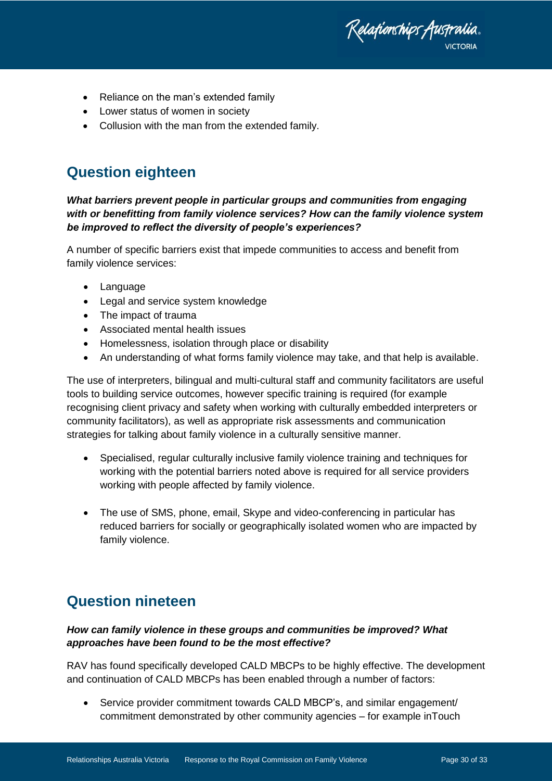Relafionships Australia.

- Reliance on the man's extended family
- Lower status of women in society
- Collusion with the man from the extended family.

### <span id="page-29-0"></span>**Question eighteen**

*What barriers prevent people in particular groups and communities from engaging with or benefitting from family violence services? How can the family violence system be improved to reflect the diversity of people's experiences?*

A number of specific barriers exist that impede communities to access and benefit from family violence services:

- Language
- Legal and service system knowledge
- The impact of trauma
- Associated mental health issues
- Homelessness, isolation through place or disability
- An understanding of what forms family violence may take, and that help is available.

The use of interpreters, bilingual and multi-cultural staff and community facilitators are useful tools to building service outcomes, however specific training is required (for example recognising client privacy and safety when working with culturally embedded interpreters or community facilitators), as well as appropriate risk assessments and communication strategies for talking about family violence in a culturally sensitive manner.

- Specialised, regular culturally inclusive family violence training and techniques for working with the potential barriers noted above is required for all service providers working with people affected by family violence.
- The use of SMS, phone, email, Skype and video-conferencing in particular has reduced barriers for socially or geographically isolated women who are impacted by family violence.

## <span id="page-29-1"></span>**Question nineteen**

### *How can family violence in these groups and communities be improved? What approaches have been found to be the most effective?*

RAV has found specifically developed CALD MBCPs to be highly effective. The development and continuation of CALD MBCPs has been enabled through a number of factors:

• Service provider commitment towards CALD MBCP's, and similar engagement/ commitment demonstrated by other community agencies – for example inTouch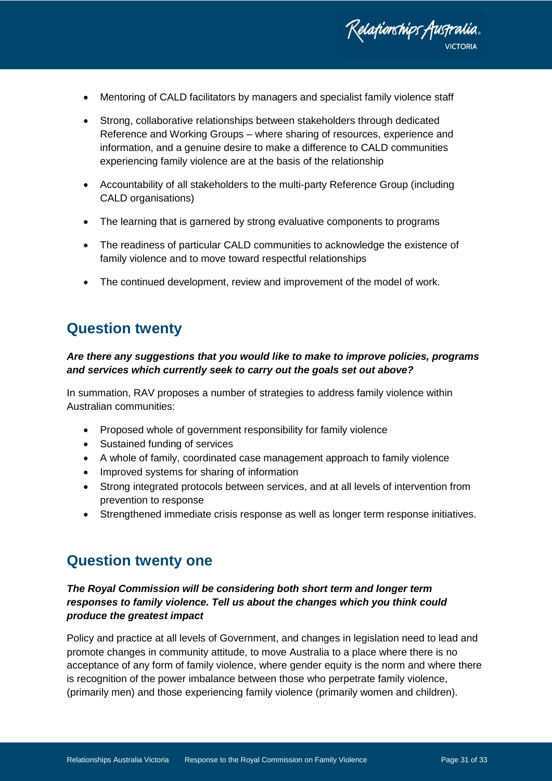

- Mentoring of CALD facilitators by managers and specialist family violence staff
- Strong, collaborative relationships between stakeholders through dedicated Reference and Working Groups – where sharing of resources, experience and information, and a genuine desire to make a difference to CALD communities experiencing family violence are at the basis of the relationship
- Accountability of all stakeholders to the multi-party Reference Group (including CALD organisations)
- The learning that is garnered by strong evaluative components to programs
- The readiness of particular CALD communities to acknowledge the existence of family violence and to move toward respectful relationships
- The continued development, review and improvement of the model of work.

# <span id="page-30-0"></span>**Question twenty**

#### *Are there any suggestions that you would like to make to improve policies, programs and services which currently seek to carry out the goals set out above?*

In summation, RAV proposes a number of strategies to address family violence within Australian communities:

- Proposed whole of government responsibility for family violence
- Sustained funding of services
- A whole of family, coordinated case management approach to family violence
- Improved systems for sharing of information
- Strong integrated protocols between services, and at all levels of intervention from prevention to response
- Strengthened immediate crisis response as well as longer term response initiatives.

### <span id="page-30-1"></span>**Question twenty one**

### *The Royal Commission will be considering both short term and longer term responses to family violence. Tell us about the changes which you think could produce the greatest impact*

Policy and practice at all levels of Government, and changes in legislation need to lead and promote changes in community attitude, to move Australia to a place where there is no acceptance of any form of family violence, where gender equity is the norm and where there is recognition of the power imbalance between those who perpetrate family violence, (primarily men) and those experiencing family violence (primarily women and children).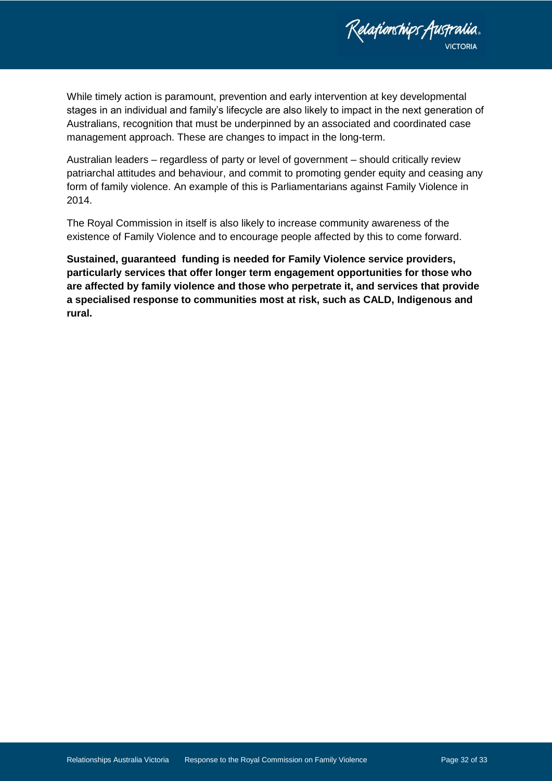

While timely action is paramount, prevention and early intervention at key developmental stages in an individual and family's lifecycle are also likely to impact in the next generation of Australians, recognition that must be underpinned by an associated and coordinated case management approach. These are changes to impact in the long-term.

Australian leaders – regardless of party or level of government – should critically review patriarchal attitudes and behaviour, and commit to promoting gender equity and ceasing any form of family violence. An example of this is Parliamentarians against Family Violence in 2014.

The Royal Commission in itself is also likely to increase community awareness of the existence of Family Violence and to encourage people affected by this to come forward.

**Sustained, guaranteed funding is needed for Family Violence service providers, particularly services that offer longer term engagement opportunities for those who are affected by family violence and those who perpetrate it, and services that provide a specialised response to communities most at risk, such as CALD, Indigenous and rural.**